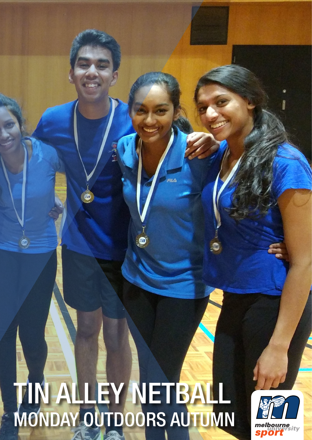# 4 TIN ALLEY NETBALL MONDAY OUTDOORS AUTUMN